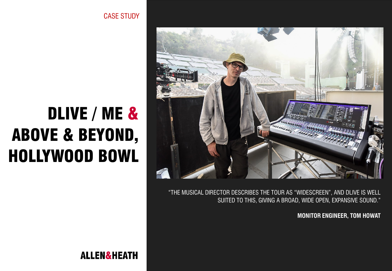CASE STUDY



"THE MUSICAL DIRECTOR DESCRIBES THE TOUR AS "WIDESCREEN", AND DLIVE IS WELL SUITED TO THIS, GIVING A BROAD, WIDE OPEN, EXPANSIVE SOUND."

**MONITOR ENGINEER, TOM HOWAT**

## DLIVE / ME & ABOVE & BEYOND, HOLLYWOOD BOWL

**ALLEN&HEATH**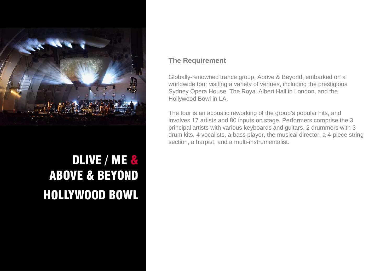

## DLIVE / ME & ABOVE & BEYOND HOLLYWOOD BOWL

## **The Requirement**

Globally-renowned trance group, Above & Beyond, embarked on a worldwide tour visiting a variety of venues, including the prestigious Sydney Opera House, The Royal Albert Hall in London, and the Hollywood Bowl in LA.

The tour is an acoustic reworking of the group's popular hits, and involves 17 artists and 80 inputs on stage. Performers comprise the 3 principal artists with various keyboards and guitars, 2 drummers with 3 drum kits, 4 vocalists, a bass player, the musical director, a 4-piece string section, a harpist, and a multi-instrumentalist.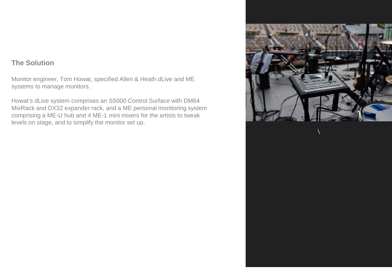## **The Solution**

Monitor engineer, Tom Howat, specified Allen & Heath dLive and ME systems to manage monitors.

Howat's dLive system comprises an S5000 Control Surface with DM64 MixRack and DX32 expander rack, and a ME personal monitoring system comprising a ME-U hub and 4 ME-1 mini mixers for the artists to tweak levels on stage, and to simplify the monitor set up.